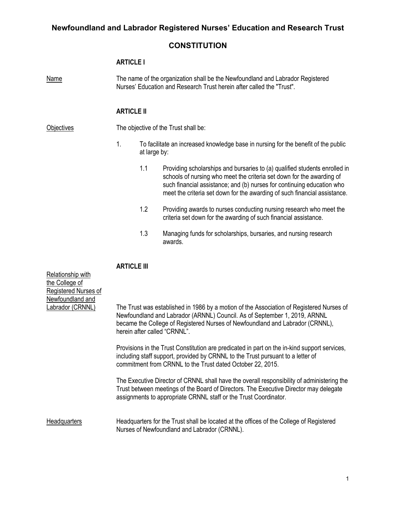# **Newfoundland and Labrador Registered Nurses' Education and Research Trust**

# **CONSTITUTION**

# **ARTICLE I**

Name The name of the organization shall be the Newfoundland and Labrador Registered Nurses' Education and Research Trust herein after called the "Trust".

## **ARTICLE II**

Objectives The objective of the Trust shall be:

- 1. To facilitate an increased knowledge base in nursing for the benefit of the public at large by:
	- 1.1 Providing scholarships and bursaries to (a) qualified students enrolled in schools of nursing who meet the criteria set down for the awarding of such financial assistance; and (b) nurses for continuing education who meet the criteria set down for the awarding of such financial assistance.
	- 1.2 Providing awards to nurses conducting nursing research who meet the criteria set down for the awarding of such financial assistance.
	- 1.3 Managing funds for scholarships, bursaries, and nursing research awards.

# **ARTICLE III**

| Relationship with    |                                                                                                                                                                                                                                                                                        |
|----------------------|----------------------------------------------------------------------------------------------------------------------------------------------------------------------------------------------------------------------------------------------------------------------------------------|
| the College of       |                                                                                                                                                                                                                                                                                        |
| Registered Nurses of |                                                                                                                                                                                                                                                                                        |
| Newfoundland and     |                                                                                                                                                                                                                                                                                        |
| Labrador (CRNNL)     | The Trust was established in 1986 by a motion of the Association of Registered Nurses of<br>Newfoundland and Labrador (ARNNL) Council. As of September 1, 2019, ARNNL<br>became the College of Registered Nurses of Newfoundland and Labrador (CRNNL),<br>herein after called "CRNNL". |
|                      | Provisions in the Trust Constitution are predicated in part on the in-kind support services,<br>including staff support, provided by CRNNL to the Trust pursuant to a letter of<br>commitment from CRNNL to the Trust dated October 22, 2015.                                          |
|                      | The Executive Director of CRNNL shall have the overall responsibility of administering the<br>Trust between meetings of the Board of Directors. The Executive Director may delegate<br>assignments to appropriate CRNNL staff or the Trust Coordinator.                                |
| Headquarters         | Headquarters for the Trust shall be located at the offices of the College of Registered<br>Nurses of Newfoundland and Labrador (CRNNL).                                                                                                                                                |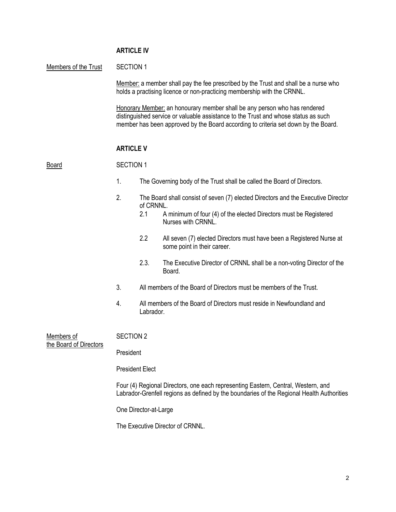| Members of the Trust                 | <b>SECTION 1</b>                                                                                                                                                               |                  |                                                                                                                                                                                                                                                       |  |  |
|--------------------------------------|--------------------------------------------------------------------------------------------------------------------------------------------------------------------------------|------------------|-------------------------------------------------------------------------------------------------------------------------------------------------------------------------------------------------------------------------------------------------------|--|--|
|                                      |                                                                                                                                                                                |                  | Member: a member shall pay the fee prescribed by the Trust and shall be a nurse who<br>holds a practising licence or non-practicing membership with the CRNNL.                                                                                        |  |  |
|                                      |                                                                                                                                                                                |                  | Honorary Member: an honourary member shall be any person who has rendered<br>distinguished service or valuable assistance to the Trust and whose status as such<br>member has been approved by the Board according to criteria set down by the Board. |  |  |
|                                      | <b>ARTICLE V</b>                                                                                                                                                               |                  |                                                                                                                                                                                                                                                       |  |  |
| <u>Board</u>                         | <b>SECTION 1</b>                                                                                                                                                               |                  |                                                                                                                                                                                                                                                       |  |  |
|                                      | 1.                                                                                                                                                                             |                  | The Governing body of the Trust shall be called the Board of Directors.                                                                                                                                                                               |  |  |
|                                      | 2.                                                                                                                                                                             | of CRNNL.<br>2.1 | The Board shall consist of seven (7) elected Directors and the Executive Director<br>A minimum of four (4) of the elected Directors must be Registered<br>Nurses with CRNNL.                                                                          |  |  |
|                                      |                                                                                                                                                                                | 2.2              | All seven (7) elected Directors must have been a Registered Nurse at<br>some point in their career.                                                                                                                                                   |  |  |
|                                      |                                                                                                                                                                                | 2.3.             | The Executive Director of CRNNL shall be a non-voting Director of the<br>Board.                                                                                                                                                                       |  |  |
|                                      | 3.                                                                                                                                                                             |                  | All members of the Board of Directors must be members of the Trust.                                                                                                                                                                                   |  |  |
|                                      | 4.                                                                                                                                                                             | Labrador.        | All members of the Board of Directors must reside in Newfoundland and                                                                                                                                                                                 |  |  |
| Members of<br>the Board of Directors | <b>SECTION 2</b>                                                                                                                                                               |                  |                                                                                                                                                                                                                                                       |  |  |
|                                      | President                                                                                                                                                                      |                  |                                                                                                                                                                                                                                                       |  |  |
|                                      | <b>President Elect</b>                                                                                                                                                         |                  |                                                                                                                                                                                                                                                       |  |  |
|                                      | Four (4) Regional Directors, one each representing Eastern, Central, Western, and<br>Labrador-Grenfell regions as defined by the boundaries of the Regional Health Authorities |                  |                                                                                                                                                                                                                                                       |  |  |
|                                      | One Director-at-Large                                                                                                                                                          |                  |                                                                                                                                                                                                                                                       |  |  |
|                                      | The Executive Director of CRNNL.                                                                                                                                               |                  |                                                                                                                                                                                                                                                       |  |  |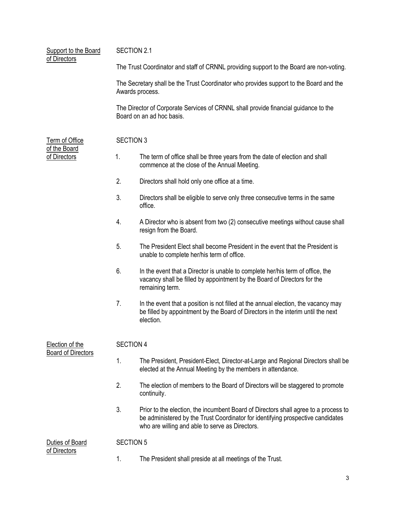| Support to the Board<br>of Directors                  |                  | SECTION 2.1                                                                                                                                                                                                               |  |  |  |  |
|-------------------------------------------------------|------------------|---------------------------------------------------------------------------------------------------------------------------------------------------------------------------------------------------------------------------|--|--|--|--|
|                                                       |                  | The Trust Coordinator and staff of CRNNL providing support to the Board are non-voting.                                                                                                                                   |  |  |  |  |
|                                                       |                  | The Secretary shall be the Trust Coordinator who provides support to the Board and the<br>Awards process.                                                                                                                 |  |  |  |  |
|                                                       |                  | The Director of Corporate Services of CRNNL shall provide financial guidance to the<br>Board on an ad hoc basis.                                                                                                          |  |  |  |  |
| <b>Term of Office</b><br>of the Board<br>of Directors |                  | <b>SECTION 3</b>                                                                                                                                                                                                          |  |  |  |  |
|                                                       | 1.               | The term of office shall be three years from the date of election and shall<br>commence at the close of the Annual Meeting.                                                                                               |  |  |  |  |
|                                                       | 2.               | Directors shall hold only one office at a time.                                                                                                                                                                           |  |  |  |  |
|                                                       | 3.               | Directors shall be eligible to serve only three consecutive terms in the same<br>office.                                                                                                                                  |  |  |  |  |
|                                                       | 4.               | A Director who is absent from two (2) consecutive meetings without cause shall<br>resign from the Board.                                                                                                                  |  |  |  |  |
|                                                       | 5.               | The President Elect shall become President in the event that the President is<br>unable to complete her/his term of office.                                                                                               |  |  |  |  |
|                                                       | 6.               | In the event that a Director is unable to complete her/his term of office, the<br>vacancy shall be filled by appointment by the Board of Directors for the<br>remaining term.                                             |  |  |  |  |
|                                                       | 7.               | In the event that a position is not filled at the annual election, the vacancy may<br>be filled by appointment by the Board of Directors in the interim until the next<br>election.                                       |  |  |  |  |
| Election of the<br><b>Board of Directors</b>          | <b>SECTION 4</b> |                                                                                                                                                                                                                           |  |  |  |  |
|                                                       | 1.               | The President, President-Elect, Director-at-Large and Regional Directors shall be<br>elected at the Annual Meeting by the members in attendance.                                                                          |  |  |  |  |
|                                                       | 2.               | The election of members to the Board of Directors will be staggered to promote<br>continuity.                                                                                                                             |  |  |  |  |
|                                                       | 3.               | Prior to the election, the incumbent Board of Directors shall agree to a process to<br>be administered by the Trust Coordinator for identifying prospective candidates<br>who are willing and able to serve as Directors. |  |  |  |  |
| Duties of Board                                       |                  | <b>SECTION 5</b>                                                                                                                                                                                                          |  |  |  |  |
| of Directors                                          | 1.               | The President shall preside at all meetings of the Trust.                                                                                                                                                                 |  |  |  |  |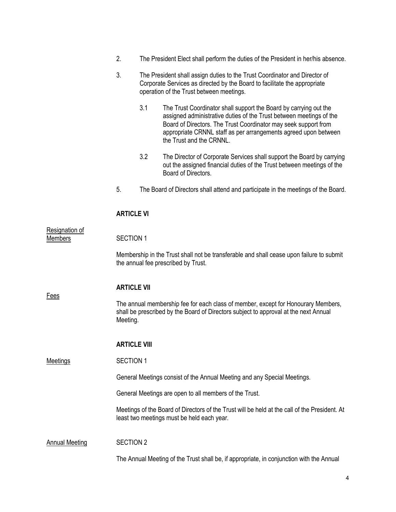|                                  | 2.                  |     | The President Elect shall perform the duties of the President in her/his absence.                                                                                                                                                                                                                          |
|----------------------------------|---------------------|-----|------------------------------------------------------------------------------------------------------------------------------------------------------------------------------------------------------------------------------------------------------------------------------------------------------------|
|                                  | 3.                  |     | The President shall assign duties to the Trust Coordinator and Director of<br>Corporate Services as directed by the Board to facilitate the appropriate<br>operation of the Trust between meetings.                                                                                                        |
|                                  |                     | 3.1 | The Trust Coordinator shall support the Board by carrying out the<br>assigned administrative duties of the Trust between meetings of the<br>Board of Directors. The Trust Coordinator may seek support from<br>appropriate CRNNL staff as per arrangements agreed upon between<br>the Trust and the CRNNL. |
|                                  |                     | 3.2 | The Director of Corporate Services shall support the Board by carrying<br>out the assigned financial duties of the Trust between meetings of the<br>Board of Directors.                                                                                                                                    |
|                                  | 5.                  |     | The Board of Directors shall attend and participate in the meetings of the Board.                                                                                                                                                                                                                          |
|                                  | <b>ARTICLE VI</b>   |     |                                                                                                                                                                                                                                                                                                            |
| Resignation of<br><b>Members</b> | <b>SECTION 1</b>    |     |                                                                                                                                                                                                                                                                                                            |
|                                  |                     |     | Membership in the Trust shall not be transferable and shall cease upon failure to submit<br>the annual fee prescribed by Trust.                                                                                                                                                                            |
|                                  | <b>ARTICLE VII</b>  |     |                                                                                                                                                                                                                                                                                                            |
| Fees                             | Meeting.            |     | The annual membership fee for each class of member, except for Honourary Members,<br>shall be prescribed by the Board of Directors subject to approval at the next Annual                                                                                                                                  |
|                                  | <b>ARTICLE VIII</b> |     |                                                                                                                                                                                                                                                                                                            |
| <b>Meetings</b>                  | <b>SECTION 1</b>    |     |                                                                                                                                                                                                                                                                                                            |
|                                  |                     |     | General Meetings consist of the Annual Meeting and any Special Meetings.                                                                                                                                                                                                                                   |
|                                  |                     |     | General Meetings are open to all members of the Trust.                                                                                                                                                                                                                                                     |
|                                  |                     |     | Meetings of the Board of Directors of the Trust will be held at the call of the President. At<br>least two meetings must be held each year.                                                                                                                                                                |
| <b>Annual Meeting</b>            | <b>SECTION 2</b>    |     |                                                                                                                                                                                                                                                                                                            |

The Annual Meeting of the Trust shall be, if appropriate, in conjunction with the Annual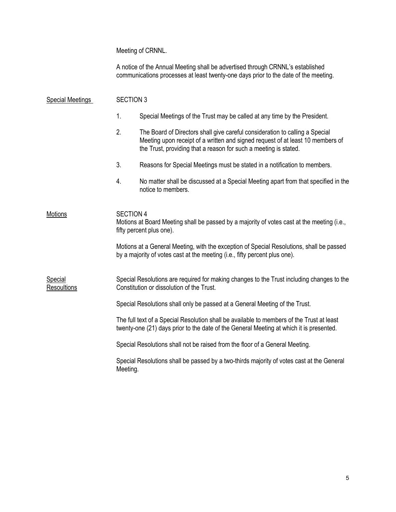Meeting of CRNNL.

A notice of the Annual Meeting shall be advertised through CRNNL's established communications processes at least twenty-one days prior to the date of the meeting.

| <b>Special Meetings</b>       | <b>SECTION 3</b>                                                            |                                                                                                                                                                                                                                                                                                  |  |  |  |
|-------------------------------|-----------------------------------------------------------------------------|--------------------------------------------------------------------------------------------------------------------------------------------------------------------------------------------------------------------------------------------------------------------------------------------------|--|--|--|
|                               | 1.                                                                          | Special Meetings of the Trust may be called at any time by the President.                                                                                                                                                                                                                        |  |  |  |
|                               | 2.                                                                          | The Board of Directors shall give careful consideration to calling a Special<br>Meeting upon receipt of a written and signed request of at least 10 members of<br>the Trust, providing that a reason for such a meeting is stated.                                                               |  |  |  |
|                               | 3.                                                                          | Reasons for Special Meetings must be stated in a notification to members.                                                                                                                                                                                                                        |  |  |  |
|                               | 4.                                                                          | No matter shall be discussed at a Special Meeting apart from that specified in the<br>notice to members.                                                                                                                                                                                         |  |  |  |
| Motions                       | <b>SECTION 4</b>                                                            | Motions at Board Meeting shall be passed by a majority of votes cast at the meeting (i.e.,<br>fifty percent plus one).<br>Motions at a General Meeting, with the exception of Special Resolutions, shall be passed<br>by a majority of votes cast at the meeting (i.e., fifty percent plus one). |  |  |  |
| Special<br><b>Resoultions</b> |                                                                             | Special Resolutions are required for making changes to the Trust including changes to the<br>Constitution or dissolution of the Trust.                                                                                                                                                           |  |  |  |
|                               | Special Resolutions shall only be passed at a General Meeting of the Trust. |                                                                                                                                                                                                                                                                                                  |  |  |  |
|                               |                                                                             | The full text of a Special Resolution shall be available to members of the Trust at least<br>twenty-one (21) days prior to the date of the General Meeting at which it is presented.                                                                                                             |  |  |  |
|                               |                                                                             | Special Resolutions shall not be raised from the floor of a General Meeting.                                                                                                                                                                                                                     |  |  |  |
|                               | Meeting.                                                                    | Special Resolutions shall be passed by a two-thirds majority of votes cast at the General                                                                                                                                                                                                        |  |  |  |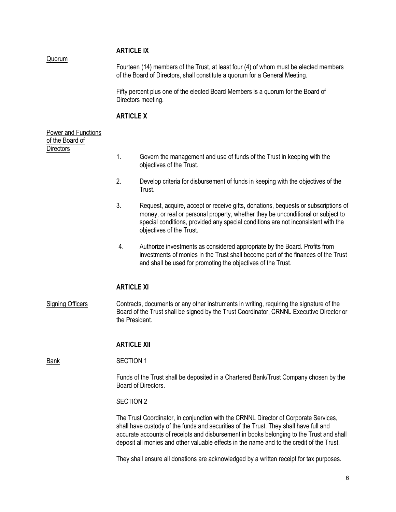# **ARTICLE IX**

Fourteen (14) members of the Trust, at least four (4) of whom must be elected members of the Board of Directors, shall constitute a quorum for a General Meeting.

Fifty percent plus one of the elected Board Members is a quorum for the Board of Directors meeting.

#### **ARTICLE X**

## Power and Functions of the Board of **Directors**

Quorum

- 1. Govern the management and use of funds of the Trust in keeping with the objectives of the Trust.
- 2. Develop criteria for disbursement of funds in keeping with the objectives of the Trust.
- 3. Request, acquire, accept or receive gifts, donations, bequests or subscriptions of money, or real or personal property, whether they be unconditional or subject to special conditions, provided any special conditions are not inconsistent with the objectives of the Trust.
- 4. Authorize investments as considered appropriate by the Board. Profits from investments of monies in the Trust shall become part of the finances of the Trust and shall be used for promoting the objectives of the Trust.

### **ARTICLE XI**

Signing Officers Contracts, documents or any other instruments in writing, requiring the signature of the Board of the Trust shall be signed by the Trust Coordinator, CRNNL Executive Director or the President.

### **ARTICLE XII**

Bank SECTION 1

Funds of the Trust shall be deposited in a Chartered Bank/Trust Company chosen by the Board of Directors.

#### SECTION 2

The Trust Coordinator, in conjunction with the CRNNL Director of Corporate Services, shall have custody of the funds and securities of the Trust. They shall have full and accurate accounts of receipts and disbursement in books belonging to the Trust and shall deposit all monies and other valuable effects in the name and to the credit of the Trust.

They shall ensure all donations are acknowledged by a written receipt for tax purposes.